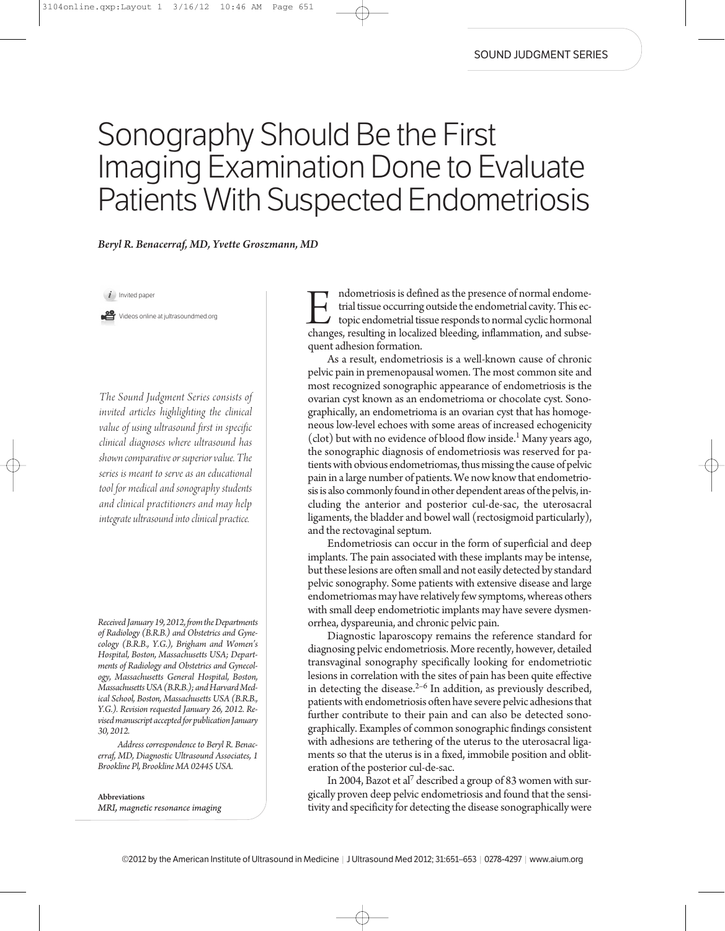## Sonography Should Be the First Imaging Examination Done to Evaluate Patients With Suspected Endometriosis

*Beryl R. Benacerraf, MD, Yvette Groszmann, MD*

 $i$  Invited paper

**CO** Videos online at jultrasoundmed.org

*The Sound Judgment Series consists of invited articles highlighting the clinical value of using ultrasound first in specific clinical diagnoses where ultrasound has shown comparative or superior value. The series is meant to serve as an educational tool for medical and sonography students and clinical practitioners and may help integrate ultrasound into clinical practice.*

*Received January 19, 2012, from the Departments of Radiology (B.R.B.) and Obstetrics and Gynecology (B.R.B., Y.G.), Brigham and Women's Hospital, Boston, Massachusetts USA; Departments of Radiology and Obstetrics and Gynecology, Massachusetts General Hospital, Boston, Massachusetts USA (B.R.B.); and Harvard Medical School, Boston, Massachusetts USA (B.R.B., Y.G.). Revision requested January 26, 2012. Revised manuscript accepted for publication January 30, 2012.*

*Address correspondence to Beryl R. Benacerraf, MD, Diagnostic Ultrasound Associates, 1 Brookline Pl, Brookline MA 02445 USA.*

Abbreviations *MRI, magnetic resonance imaging*

ndometriosis is defined as the presence of normal endometrial tissue occurring outside the endometrial cavity. This ectopic endometrial tissue responds to normal cyclic hormonal Imprometriosis is defined as the presence of normal endometrial tissue occurring outside the endometrial cavity. This ectopic endometrial tissue responds to normal cyclic hormonal changes, resulting in localized bleeding, quent adhesion formation.

As a result, endometriosis is a well-known cause of chronic pelvic pain in premenopausal women. The most common site and most recognized sonographic appearance of endometriosis is the ovarian cyst known as an endometrioma or chocolate cyst. Sonographically, an endometrioma is an ovarian cyst that has homogeneous low-level echoes with some areas of increased echogenicity  $($ clot $)$  but with no evidence of blood flow inside.<sup>1</sup> Many years ago, the sonographic diagnosis of endometriosis was reserved for patients with obvious endometriomas, thus missing the cause of pelvic pain in a large number of patients. We now know that endometriosis is also commonly found in other dependent areas of the pelvis, including the anterior and posterior cul-de-sac, the uterosacral ligaments, the bladder and bowel wall (rectosigmoid particularly), and the rectovaginal septum.

Endometriosis can occur in the form of superficial and deep implants. The pain associated with these implants may be intense, but these lesions are often small and not easily detected by standard pelvic sonography. Some patients with extensive disease and large endometriomas may have relatively few symptoms, whereas others with small deep endometriotic implants may have severe dysmenorrhea, dyspareunia, and chronic pelvic pain.

Diagnostic laparoscopy remains the reference standard for diagnosing pelvic endometriosis. More recently, however, detailed transvaginal sonography specifically looking for endometriotic lesions in correlation with the sites of pain has been quite effective in detecting the disease. $2-6$  In addition, as previously described, patients with endometriosis often have severe pelvic adhesions that further contribute to their pain and can also be detected sonographically. Examples of common sonographic findings consistent with adhesions are tethering of the uterus to the uterosacral ligaments so that the uterus is in a fixed, immobile position and obliteration of the posterior cul-de-sac.

In 2004, Bazot et al<sup>7</sup> described a group of 83 women with surgically proven deep pelvic endometriosis and found that the sensitivity and specificity for detecting the disease sonographically were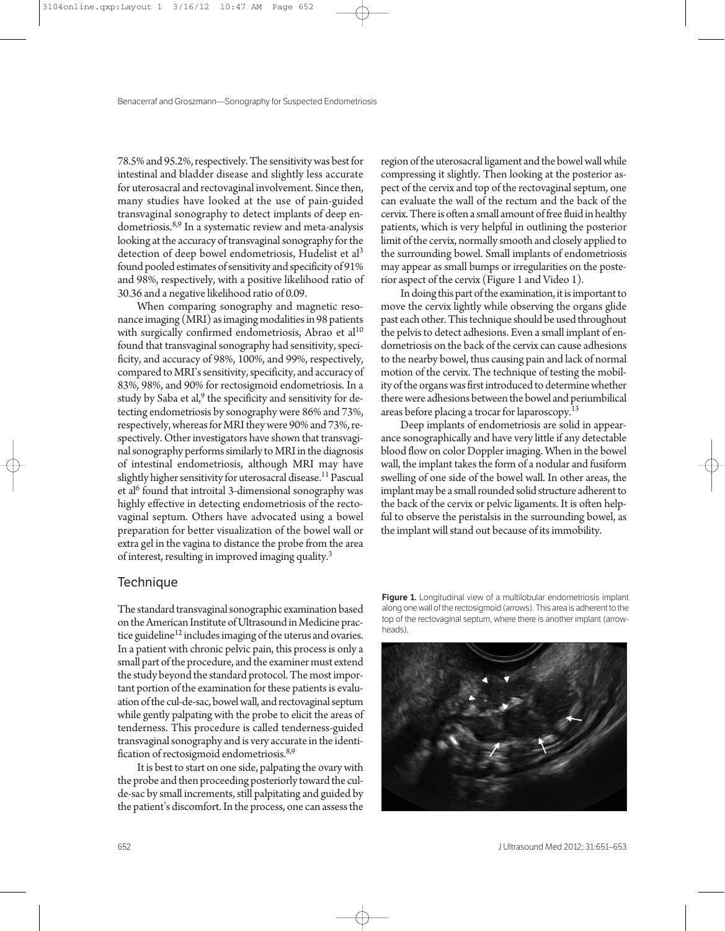78.5% and 95.2%, respectively. The sensitivity was best for intestinal and bladder disease and slightly less accurate for uterosacral and rectovaginal involvement. Since then, many studies have looked at the use of pain-guided transvaginal sonography to detect implants of deep endometriosis.8,9 In a systematic review and meta-analysis looking at the accuracy of transvaginal sonography for the detection of deep bowel endometriosis, Hudelist et al<sup>3</sup> found pooled estimates of sensitivity and specificity of 91% and 98%, respectively, with a positive likelihood ratio of 30.36 and a negative likelihood ratio of 0.09.

When comparing sonography and magnetic resonance imaging (MRI) as imaging modalities in 98 patients with surgically confirmed endometriosis, Abrao et al<sup>10</sup> found that transvaginal sonography had sensitivity, specificity, and accuracy of 98%, 100%, and 99%, respectively, compared to MRI's sensitivity, specificity, and accuracy of 83%, 98%, and 90% for rectosigmoid endometriosis. In a study by Saba et al,  $9$  the specificity and sensitivity for detecting endometriosis by sonography were 86% and 73%, respectively, whereas for MRI they were 90% and 73%, respectively. Other investigators have shown that transvaginal sonography performs similarly to MRI in the diagnosis of intestinal endometriosis, although MRI may have slightly higher sensitivity for uterosacral disease.<sup>11</sup> Pascual et al<sup>6</sup> found that introital 3-dimensional sonography was highly effective in detecting endometriosis of the rectovaginal septum. Others have advocated using a bowel preparation for better visualization of the bowel wall or extra gel in the vagina to distance the probe from the area of interest, resulting in improved imaging quality.3

## **Technique**

The standard transvaginal sonographic examination based on the American Institute of Ultrasound in Medicine practice guideline<sup>12</sup> includes imaging of the uterus and ovaries. In a patient with chronic pelvic pain, this process is only a small part of the procedure, and the examiner must extend the study beyond the standard protocol. The most important portion of the examination for these patients is evaluation of the cul-de-sac, bowel wall, and rectovaginal septum while gently palpating with the probe to elicit the areas of tenderness. This procedure is called tenderness-guided transvaginal sonography and is very accurate in the identification of rectosigmoid endometriosis.<sup>8,9</sup>

It is best to start on one side, palpating the ovary with the probe and then proceeding posteriorly toward the culde-sac by small increments, still palpitating and guided by the patient's discomfort. In the process, one can assess the

region of the uterosacral ligament and the bowel wall while compressing it slightly. Then looking at the posterior aspect of the cervix and top of the rectovaginal septum, one can evaluate the wall of the rectum and the back of the cervix. There is often a small amount of free fluid in healthy patients, which is very helpful in outlining the posterior limit of the cervix, normally smooth and closely applied to the surrounding bowel. Small implants of endometriosis may appear as small bumps or irregularities on the posterior aspect of the cervix (Figure 1 and Video 1).

In doing this part of the examination, it is important to move the cervix lightly while observing the organs glide past each other. This technique should be used throughout the pelvis to detect adhesions. Even a small implant of endometriosis on the back of the cervix can cause adhesions to the nearby bowel, thus causing pain and lack of normal motion of the cervix. The technique of testing the mobility of the organs was first introduced to determine whether there were adhesions between the bowel and periumbilical areas before placing a trocar for laparoscopy.13

Deep implants of endometriosis are solid in appearance sonographically and have very little if any detectable blood flow on color Doppler imaging. When in the bowel wall, the implant takes the form of a nodular and fusiform swelling of one side of the bowel wall. In other areas, the implant may be a small rounded solid structure adherent to the back of the cervix or pelvic ligaments. It is often helpful to observe the peristalsis in the surrounding bowel, as the implant will stand out because of its immobility.

**Figure 1.** Longitudinal view of a multilobular endometriosis implant along one wall of the rectosigmoid (arrows). This area is adherent to the top of the rectovaginal septum, where there is another implant (arrowheads).